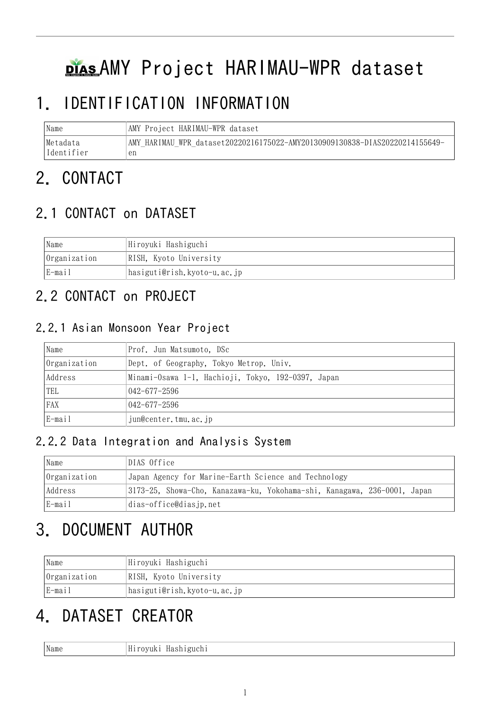# **PIAS AMY Project HARIMAU-WPR dataset**

# 1. IDENTIFICATION INFORMATION

| Name       | AMY Project HARIMAU-WPR dataset                                             |
|------------|-----------------------------------------------------------------------------|
| Metadata   | AMY HARIMAU WPR dataset20220216175022-AMY20130909130838-DIAS20220214155649- |
| Identifier | en                                                                          |

# 2. CONTACT

# 2.1 CONTACT on DATASET

| Name         | Hiroyuki Hashiguchi         |
|--------------|-----------------------------|
| Organization | RISH, Kyoto University      |
| E-mail       | hasiguti@rish.kyoto-u.ac.jp |

# 2.2 CONTACT on PROJECT

### 2.2.1 Asian Monsoon Year Project

| Name         | Prof. Jun Matsumoto, DSc                           |
|--------------|----------------------------------------------------|
| Organization | Dept. of Geography, Tokyo Metrop. Univ.            |
| Address      | Minami-Osawa 1-1, Hachioji, Tokyo, 192-0397, Japan |
| TEL          | $042 - 677 - 2596$                                 |
| <b>FAX</b>   | $042 - 677 - 2596$                                 |
| E-mail       | jun@center.tmu.ac.jp                               |

### 2.2.2 Data Integration and Analysis System

| Name         | DIAS Office                                                              |
|--------------|--------------------------------------------------------------------------|
| Organization | Japan Agency for Marine-Earth Science and Technology                     |
| Address      | 3173-25, Showa-Cho, Kanazawa-ku, Yokohama-shi, Kanagawa, 236-0001, Japan |
| E-mail       | dias-office@diasjp.net                                                   |

# 3. DOCUMENT AUTHOR

| Name         | Hiroyuki Hashiguchi         |  |
|--------------|-----------------------------|--|
| Organization | RISH, Kyoto University      |  |
| E-mail       | hasiguti@rish.kyoto-u.ac.jp |  |

# 4. DATASET CREATOR

Name Hiroyuki Hashiguchi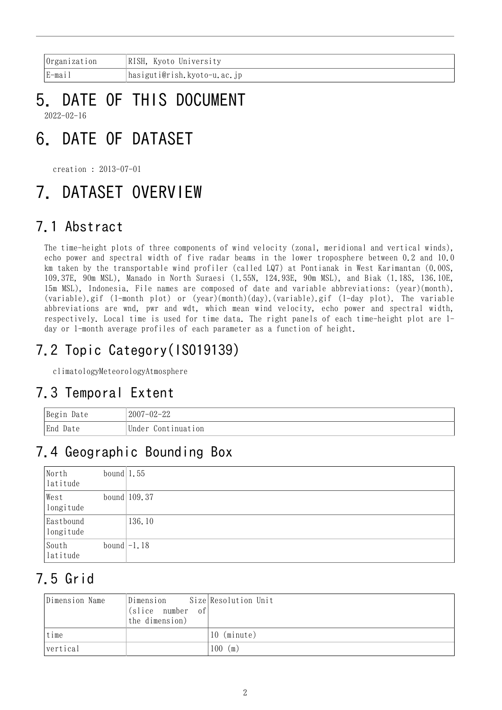| Organization          | RISH, Kyoto University      |
|-----------------------|-----------------------------|
| $E$ -mai <sub>1</sub> | hasiguti@rish.kyoto-u.ac.jp |

### 5. DATE OF THIS DOCUMENT 2022-02-16

# 6. DATE OF DATASET

creation : 2013-07-01

# 7. DATASET OVERVIEW

## 7.1 Abstract

The time-height plots of three components of wind velocity (zonal, meridional and vertical winds), echo power and spectral width of five radar beams in the lower troposphere between 0.2 and 10.0 km taken by the transportable wind profiler (called LQ7) at Pontianak in West Karimantan (0.00S, 109.37E, 90m MSL), Manado in North Suraesi (1.55N, 124.93E, 90m MSL), and Biak (1.18S, 136.10E, 15m MSL), Indonesia. File names are composed of date and variable abbreviations: (year)(month). (variable).gif (1-month plot) or (year)(month)(day).(variable).gif (1-day plot). The variable abbreviations are wnd, pwr and wdt, which mean wind velocity, echo power and spectral width, respectively. Local time is used for time data. The right panels of each time-height plot are 1 day or 1-month average profiles of each parameter as a function of height.

# 7.2 Topic Category(ISO19139)

climatologyMeteorologyAtmosphere

## 7.3 Temporal Extent

| Begin Date | $2007 - 02 - 22$   |
|------------|--------------------|
| End Date   | Under Continuation |

## 7.4 Geographic Bounding Box

| North<br>latitude      | bound $1.55$ |                |
|------------------------|--------------|----------------|
| West<br>longitude      |              | bound $109.37$ |
| Eastbound<br>longitude |              | 136.10         |
| South<br>latitude      |              | bound $-1.18$  |

## 7.5 Grid

| Dimension Name | Dimension Size Resolution Unit<br>(slice number of)<br>the dimension) |             |
|----------------|-----------------------------------------------------------------------|-------------|
| time           |                                                                       | 10 (minute) |
| vertical       |                                                                       | $100$ (m)   |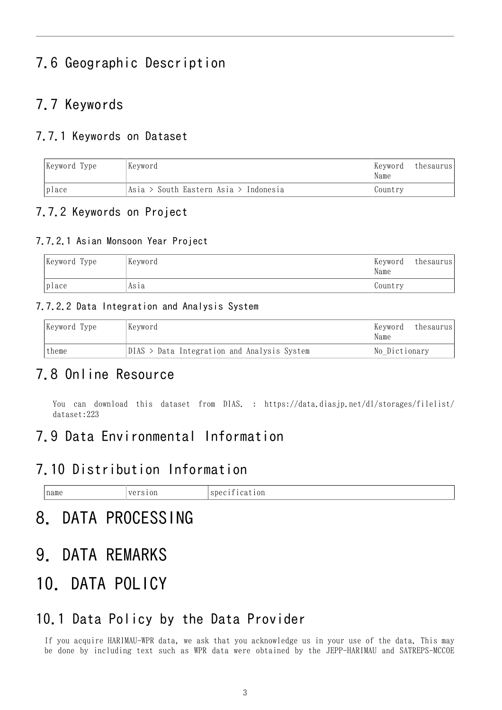## 7.6 Geographic Description

### 7.7 Keywords

#### 7.7.1 Keywords on Dataset

|                                                | Keyword Type | Keyword<br>Kevword |         | thesaurus |
|------------------------------------------------|--------------|--------------------|---------|-----------|
| Asia > South Eastern Asia > Indonesia<br>place |              |                    | Country |           |

#### 7.7.2 Keywords on Project

#### 7.7.2.1 Asian Monsoon Year Project

| Keyword Type | Keyword | Keyword<br>Name | thesaurus |
|--------------|---------|-----------------|-----------|
| place        | Asıa    | Country         |           |

#### 7.7.2.2 Data Integration and Analysis System

|       | Keyword Type | Keyword                                       | Keyword<br>Name | thesaurus |
|-------|--------------|-----------------------------------------------|-----------------|-----------|
| theme |              | $DIAS$ > Data Integration and Analysis System | No Dictionary   |           |

### 7.8 Online Resource

You can download this dataset from DIAS. : [https://data.diasjp.net/dl/storages/filelist/](https://data.diasjp.net/dl/storages/filelist/dataset:223) [dataset:223](https://data.diasjp.net/dl/storages/filelist/dataset:223)

### 7.9 Data Environmental Information

### 7.10 Distribution Information

| name<br>the contract of the contract of the contract of | --<br>$T \sim$<br>۰.<br><b>VAA</b> | $\sim$<br><sup>or</sup><br>$\sim$ $\sim$ $\sim$ $\sim$ $\sim$ |
|---------------------------------------------------------|------------------------------------|---------------------------------------------------------------|
|                                                         |                                    |                                                               |

# 8. DATA PROCESSING

9. DATA REMARKS

# 10. DATA POLICY

### 10.1 Data Policy by the Data Provider

If you acquire HARIMAU-WPR data, we ask that you acknowledge us in your use of the data. This may be done by including text such as WPR data were obtained by the JEPP-HARIMAU and SATREPS-MCCOE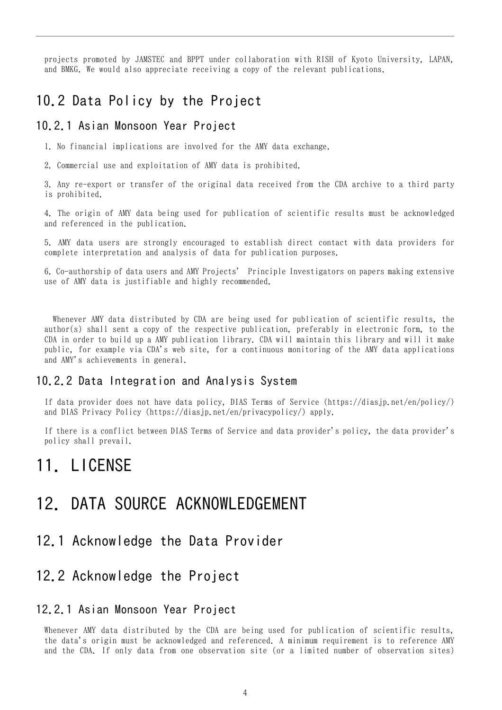projects promoted by JAMSTEC and BPPT under collaboration with RISH of Kyoto University, LAPAN, and BMKG. We would also appreciate receiving a copy of the relevant publications.

### 10.2 Data Policy by the Project

#### 10.2.1 Asian Monsoon Year Project

1. No financial implications are involved for the AMY data exchange.

2. Commercial use and exploitation of AMY data is prohibited.

3. Any re-export or transfer of the original data received from the CDA archive to a third party is prohibited.

4. The origin of AMY data being used for publication of scientific results must be acknowledged and referenced in the publication.

5. AMY data users are strongly encouraged to establish direct contact with data providers for complete interpretation and analysis of data for publication purposes.

6. Co-authorship of data users and AMY Projects' Principle Investigators on papers making extensive use of AMY data is justifiable and highly recommended.

 Whenever AMY data distributed by CDA are being used for publication of scientific results, the author(s) shall sent a copy of the respective publication, preferably in electronic form, to the CDA in order to build up a AMY publication library. CDA will maintain this library and will it make public, for example via CDA's web site, for a continuous monitoring of the AMY data applications and AMY's achievements in general.

#### 10.2.2 Data Integration and Analysis System

If data provider does not have data policy, DIAS Terms of Service (https://diasjp.net/en/policy/) and DIAS Privacy Policy (https://diasjp.net/en/privacypolicy/) apply.

If there is a conflict between DIAS Terms of Service and data provider's policy, the data provider's policy shall prevail.

## 11. LICENSE

## 12. DATA SOURCE ACKNOWLEDGEMENT

#### 12.1 Acknowledge the Data Provider

### 12.2 Acknowledge the Project

#### 12.2.1 Asian Monsoon Year Project

Whenever AMY data distributed by the CDA are being used for publication of scientific results, the data's origin must be acknowledged and referenced. A minimum requirement is to reference AMY and the CDA. If only data from one observation site (or a limited number of observation sites)